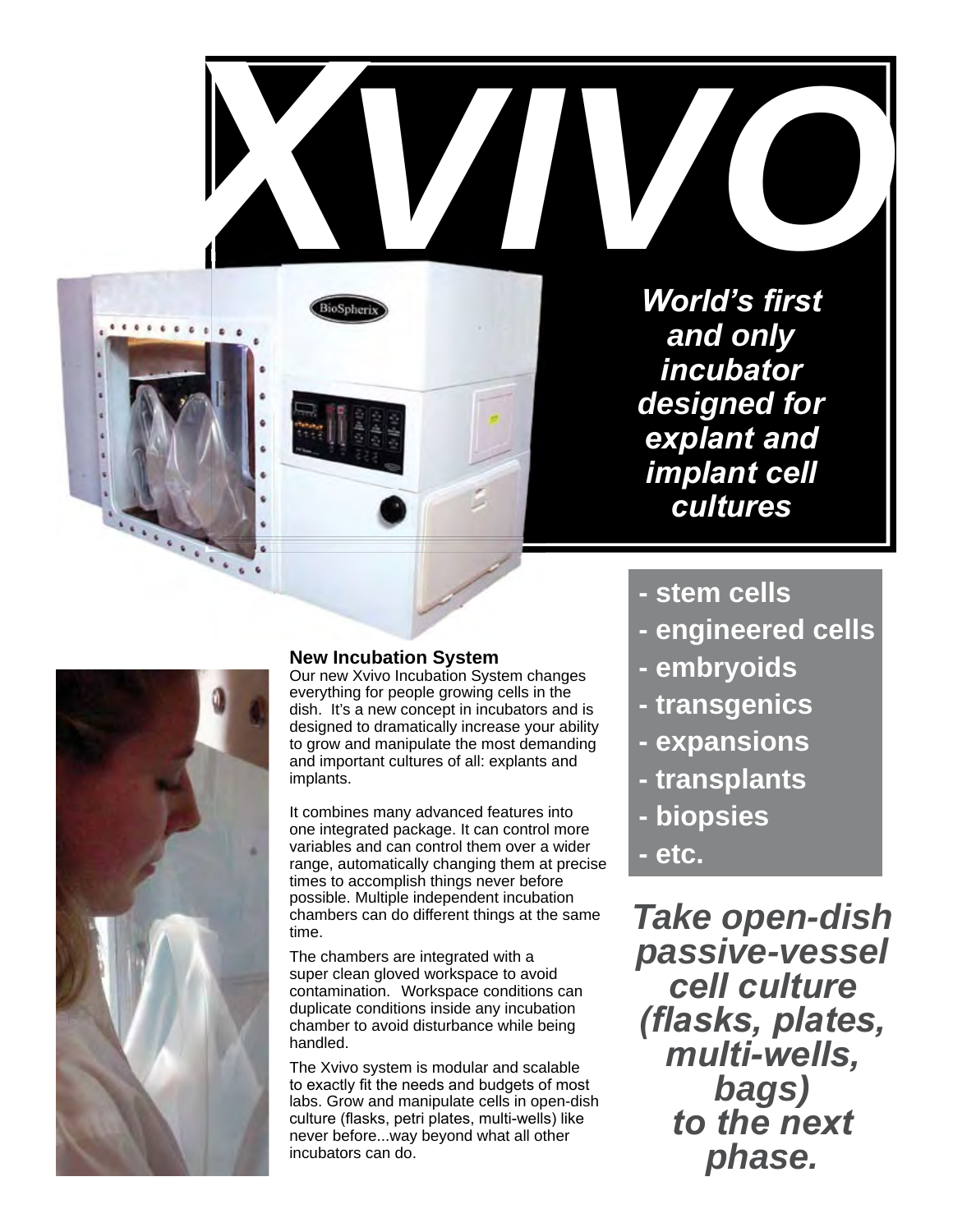**XVIII World's first World's first** *and only incubator designed for explant and implant cell cultures* **VALUE AND WORKS SERVER WORKS FIRST** 



 $\overline{\mathcal{C}_\mathcal{A}}$ 

....

### **New Incubation System**

Our new Xvivo Incubation System changes everything for people growing cells in the dish. It's a new concept in incubators and is designed to dramatically increase your ability to grow and manipulate the most demanding and important cultures of all: explants and implants.

It combines many advanced features into one integrated package. It can control more variables and can control them over a wider range, automatically changing them at precise times to accomplish things never before possible. Multiple independent incubation chambers can do different things at the same time.

The chambers are integrated with a super clean gloved workspace to avoid contamination. Workspace conditions can duplicate conditions inside any incubation chamber to avoid disturbance while being handled.

The Xvivo system is modular and scalable to exactly fit the needs and budgets of most labs. Grow and manipulate cells in open-dish culture (flasks, petri plates, multi-wells) like never before...way beyond what all other incubators can do.

- **stem cells**
- **engineered cells**
- **embryoids**
- **transgenics**
- **expansions**
- **transplants**
- **biopsies**
- **etc.**

*Take open-dish passive-vessel cell culture (fl asks, plates, multi-wells, bags) to the next phase.*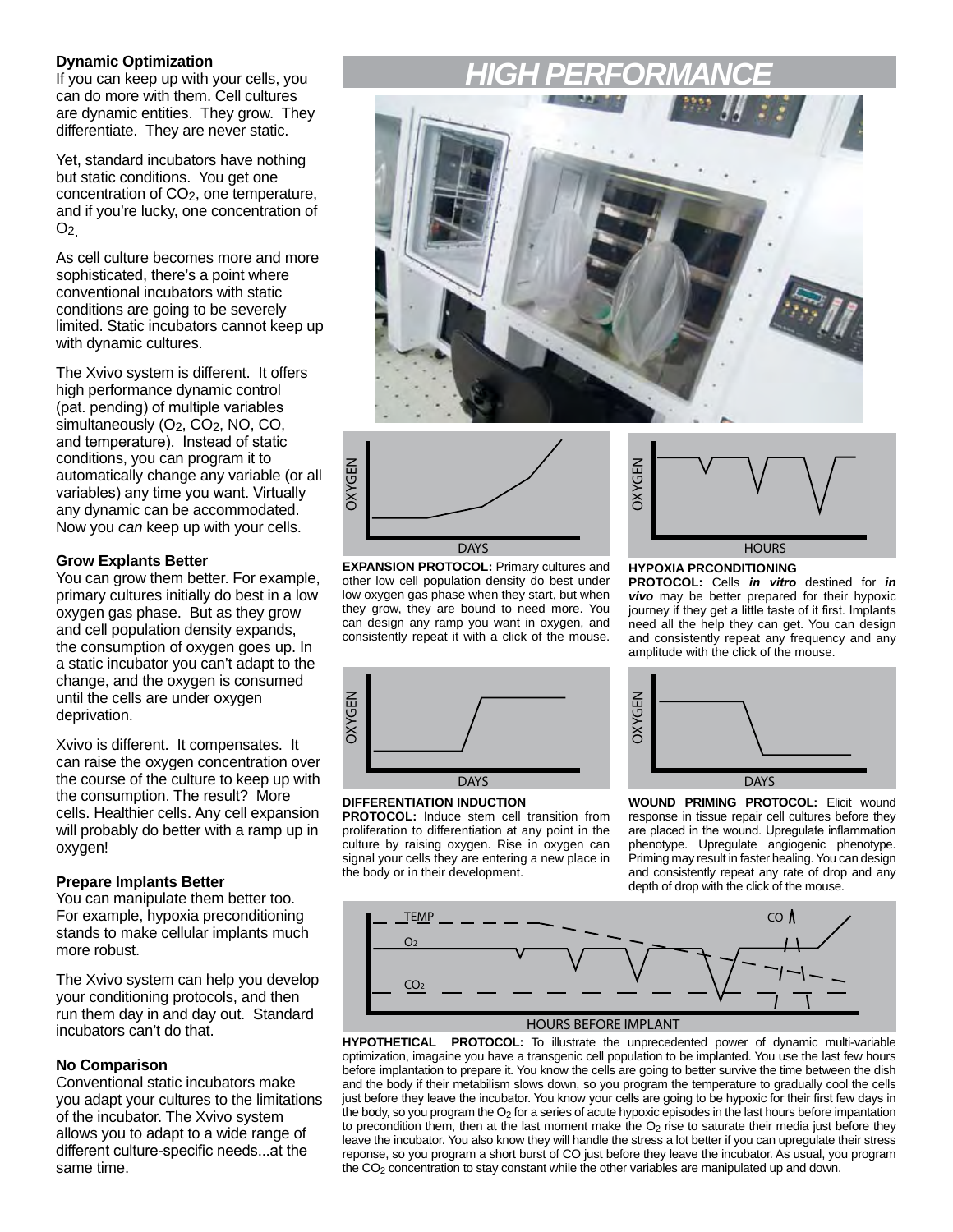#### **Dynamic Optimization**

If you can keep up with your cells, you can do more with them. Cell cultures are dynamic entities. They grow. They differentiate. They are never static.

Yet, standard incubators have nothing but static conditions. You get one concentration of CO2, one temperature, and if you're lucky, one concentration of  $O<sub>2</sub>$ 

As cell culture becomes more and more sophisticated, there's a point where conventional incubators with static conditions are going to be severely limited. Static incubators cannot keep up with dynamic cultures.

The Xvivo system is different. It offers high performance dynamic control (pat. pending) of multiple variables simultaneously (O<sub>2</sub>, CO<sub>2</sub>, NO, CO, and temperature). Instead of static conditions, you can program it to automatically change any variable (or all variables) any time you want. Virtually any dynamic can be accommodated. Now you *can* keep up with your cells.

#### **Grow Explants Better**

You can grow them better. For example, primary cultures initially do best in a low oxygen gas phase. But as they grow and cell population density expands, the consumption of oxygen goes up. In a static incubator you can't adapt to the change, and the oxygen is consumed until the cells are under oxygen deprivation.

Xvivo is different. It compensates. It can raise the oxygen concentration over the course of the culture to keep up with the consumption. The result? More cells. Healthier cells. Any cell expansion will probably do better with a ramp up in oxygen!

#### **Prepare Implants Better**

You can manipulate them better too. For example, hypoxia preconditioning stands to make cellular implants much more robust.

The Xvivo system can help you develop your conditioning protocols, and then run them day in and day out. Standard incubators can't do that.

#### **No Comparison**

Conventional static incubators make you adapt your cultures to the limitations of the incubator. The Xvivo system allows you to adapt to a wide range of different culture-specific needs...at the same time.

# *HIGH PERFORMANCE*





**EXPANSION PROTOCOL:** Primary cultures and other low cell population density do best under low oxygen gas phase when they start, but when they grow, they are bound to need more. You can design any ramp you want in oxygen, and consistently repeat it with a click of the mouse.



#### **HYPOXIA PRCONDITIONING**

**PROTOCOL:** Cells *in vitro* destined for *in vivo* may be better prepared for their hypoxic journey if they get a little taste of it first. Implants need all the help they can get. You can design and consistently repeat any frequency and any amplitude with the click of the mouse.



#### **DIFFERENTIATION INDUCTION**

**PROTOCOL:** Induce stem cell transition from proliferation to differentiation at any point in the culture by raising oxygen. Rise in oxygen can signal your cells they are entering a new place in the body or in their development.



**WOUND PRIMING PROTOCOL:** Elicit wound response in tissue repair cell cultures before they are placed in the wound. Upregulate inflammation phenotype. Upregulate angiogenic phenotype. Priming may result in faster healing. You can design and consistently repeat any rate of drop and any depth of drop with the click of the mouse.



**HYPOTHETICAL PROTOCOL:** To illustrate the unprecedented power of dynamic multi-variable optimization, imagaine you have a transgenic cell population to be implanted. You use the last few hours before implantation to prepare it. You know the cells are going to better survive the time between the dish and the body if their metabilism slows down, so you program the temperature to gradually cool the cells just before they leave the incubator. You know your cells are going to be hypoxic for their first few days in the body, so you program the  $O_2$  for a series of acute hypoxic episodes in the last hours before impantation to precondition them, then at the last moment make the  $O<sub>2</sub>$  rise to saturate their media just before they leave the incubator. You also know they will handle the stress a lot better if you can upregulate their stress reponse, so you program a short burst of CO just before they leave the incubator. As usual, you program the CO<sub>2</sub> concentration to stay constant while the other variables are manipulated up and down.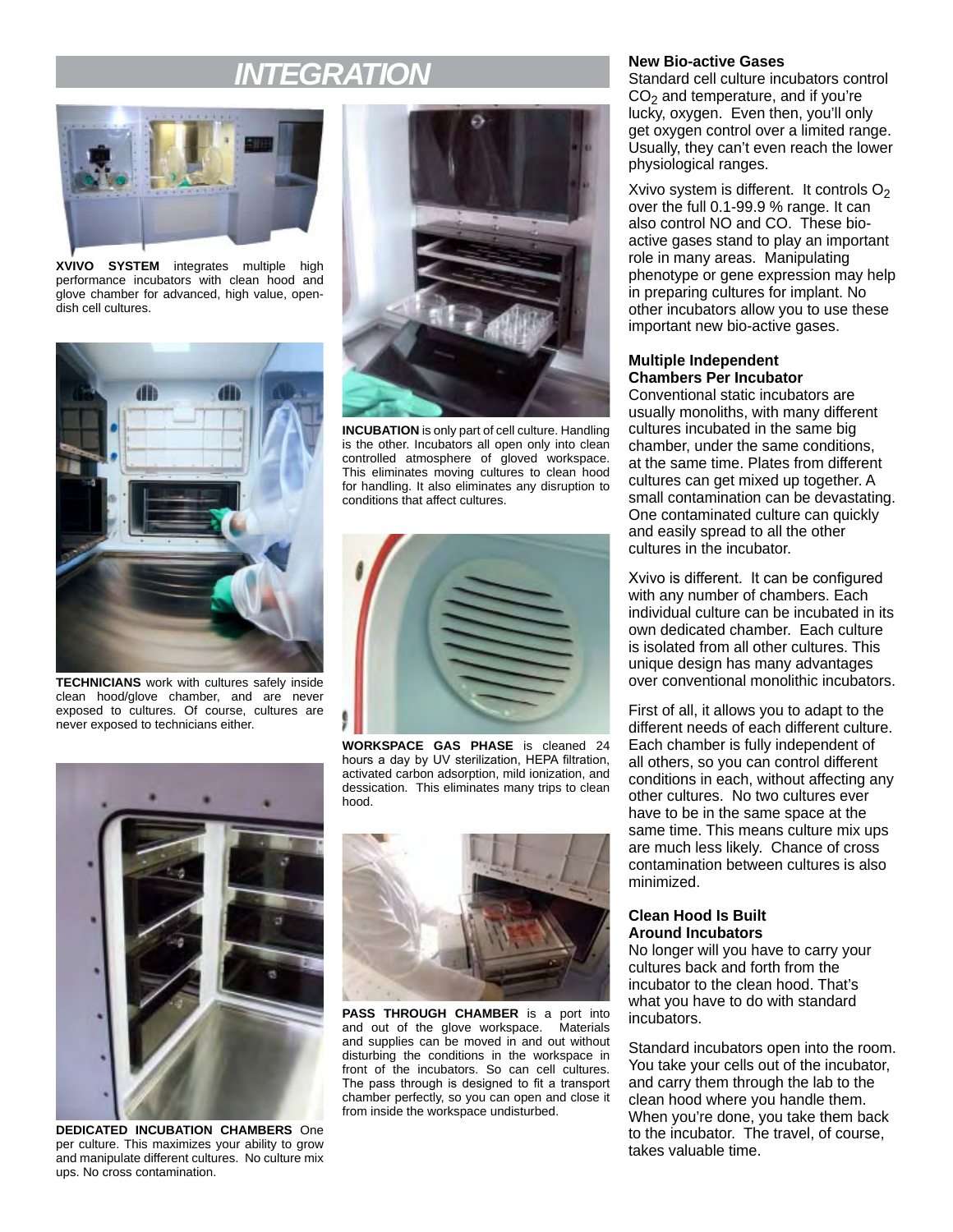## *INTEGRATION*



**XVIVO SYSTEM** integrates multiple high performance incubators with clean hood and glove chamber for advanced, high value, opendish cell cultures.



**TECHNICIANS** work with cultures safely inside clean hood/glove chamber, and are never exposed to cultures. Of course, cultures are never exposed to technicians either.



**INCUBATION** is only part of cell culture. Handling is the other. Incubators all open only into clean controlled atmosphere of gloved workspace. This eliminates moving cultures to clean hood for handling. It also eliminates any disruption to conditions that affect cultures.



**WORKSPACE GAS PHASE** is cleaned 24 hours a day by UV sterilization, HEPA filtration, activated carbon adsorption, mild ionization, and dessication. This eliminates many trips to clean hood.



**DEDICATED INCUBATION CHAMBERS** One per culture. This maximizes your ability to grow and manipulate different cultures. No culture mix ups. No cross contamination.



**PASS THROUGH CHAMBER** is a port into and out of the glove workspace. Materials and supplies can be moved in and out without disturbing the conditions in the workspace in front of the incubators. So can cell cultures. The pass through is designed to fit a transport chamber perfectly, so you can open and close it from inside the workspace undisturbed.

#### **New Bio-active Gases**

Standard cell culture incubators control  $CO<sub>2</sub>$  and temperature, and if you're lucky, oxygen. Even then, you'll only get oxygen control over a limited range. Usually, they can't even reach the lower physiological ranges.

Xvivo system is different. It controls  $O<sub>2</sub>$ over the full 0.1-99.9 % range. It can also control NO and CO. These bioactive gases stand to play an important role in many areas. Manipulating phenotype or gene expression may help in preparing cultures for implant. No other incubators allow you to use these important new bio-active gases.

#### **Multiple Independent Chambers Per Incubator**

Conventional static incubators are usually monoliths, with many different cultures incubated in the same big chamber, under the same conditions, at the same time. Plates from different cultures can get mixed up together. A small contamination can be devastating. One contaminated culture can quickly and easily spread to all the other cultures in the incubator.

Xvivo is different. It can be configured with any number of chambers. Each individual culture can be incubated in its own dedicated chamber. Each culture is isolated from all other cultures. This unique design has many advantages over conventional monolithic incubators.

First of all, it allows you to adapt to the different needs of each different culture. Each chamber is fully independent of all others, so you can control different conditions in each, without affecting any other cultures. No two cultures ever have to be in the same space at the same time. This means culture mix ups are much less likely. Chance of cross contamination between cultures is also minimized.

#### **Clean Hood Is Built Around Incubators**

No longer will you have to carry your cultures back and forth from the incubator to the clean hood. That's what you have to do with standard incubators.

Standard incubators open into the room. You take your cells out of the incubator, and carry them through the lab to the clean hood where you handle them. When you're done, you take them back to the incubator. The travel, of course, takes valuable time.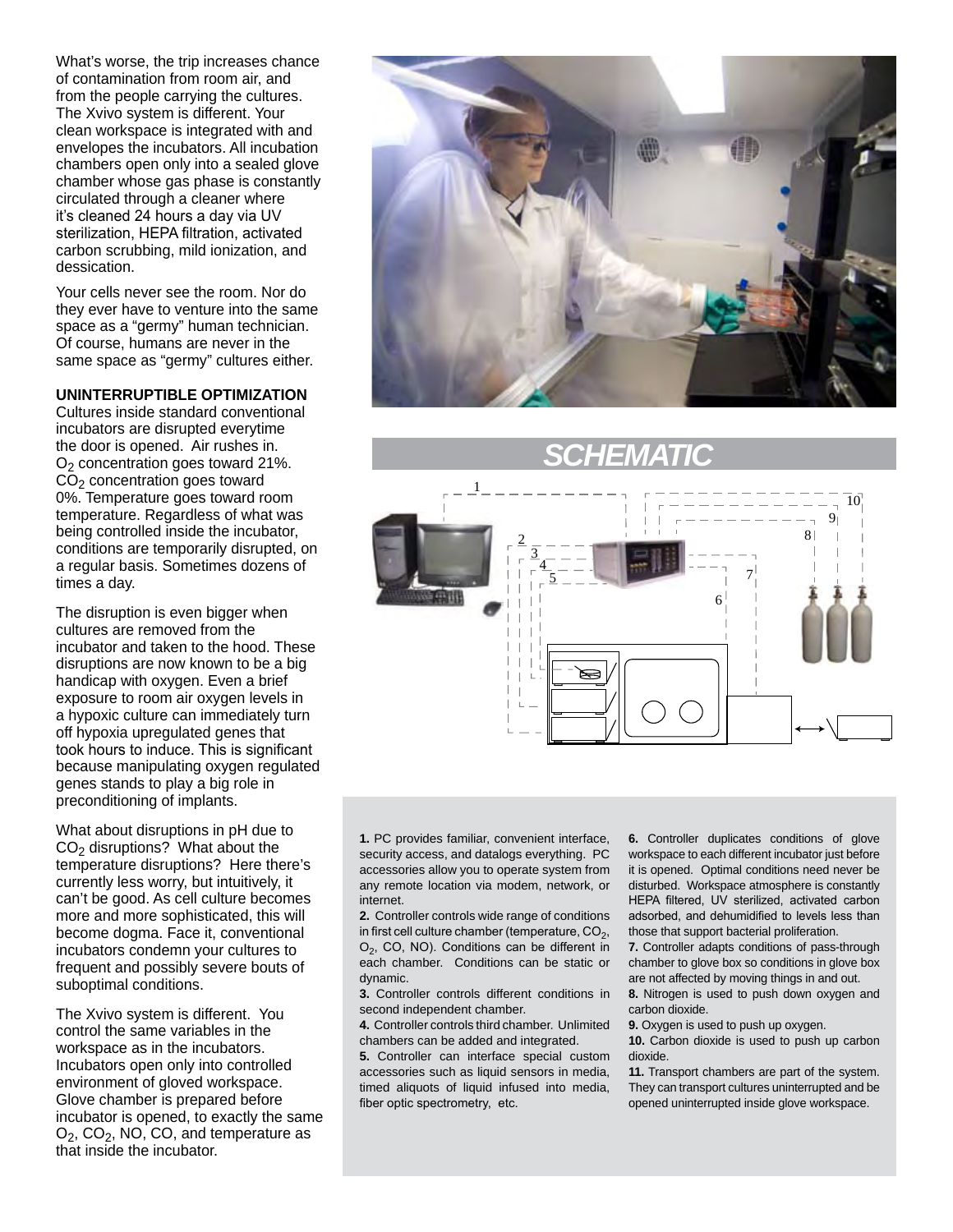What's worse, the trip increases chance of contamination from room air, and from the people carrying the cultures. The Xvivo system is different. Your clean workspace is integrated with and envelopes the incubators. All incubation chambers open only into a sealed glove chamber whose gas phase is constantly circulated through a cleaner where it's cleaned 24 hours a day via UV sterilization, HEPA filtration, activated carbon scrubbing, mild ionization, and dessication.

Your cells never see the room. Nor do they ever have to venture into the same space as a "germy" human technician. Of course, humans are never in the same space as "germy" cultures either.

#### **UNINTERRUPTIBLE OPTIMIZATION**

Cultures inside standard conventional incubators are disrupted everytime the door is opened. Air rushes in.  $O<sub>2</sub>$  concentration goes toward 21%.  $CO<sub>2</sub>$  concentration goes toward 0%. Temperature goes toward room temperature. Regardless of what was being controlled inside the incubator, conditions are temporarily disrupted, on a regular basis. Sometimes dozens of times a day.

The disruption is even bigger when cultures are removed from the incubator and taken to the hood. These disruptions are now known to be a big handicap with oxygen. Even a brief exposure to room air oxygen levels in a hypoxic culture can immediately turn off hypoxia upregulated genes that took hours to induce. This is significant because manipulating oxygen regulated genes stands to play a big role in preconditioning of implants.

What about disruptions in pH due to CO2 disruptions? What about the temperature disruptions? Here there's currently less worry, but intuitively, it can't be good. As cell culture becomes more and more sophisticated, this will become dogma. Face it, conventional incubators condemn your cultures to frequent and possibly severe bouts of suboptimal conditions.

The Xvivo system is different. You control the same variables in the workspace as in the incubators. Incubators open only into controlled environment of gloved workspace. Glove chamber is prepared before incubator is opened, to exactly the same  $O<sub>2</sub>$ , CO<sub>2</sub>, NO, CO, and temperature as that inside the incubator.



# *SCHEMATIC*



**1.** PC provides familiar, convenient interface, security access, and datalogs everything. PC accessories allow you to operate system from any remote location via modem, network, or internet.

**2.** Controller controls wide range of conditions in first cell culture chamber (temperature,  $CO<sub>2</sub>$ , O<sub>2</sub>, CO, NO). Conditions can be different in each chamber. Conditions can be static or dynamic.

**3.** Controller controls different conditions in second independent chamber.

**4.** Controller controls third chamber. Unlimited chambers can be added and integrated.

**5.** Controller can interface special custom accessories such as liquid sensors in media, timed aliquots of liquid infused into media, fiber optic spectrometry, etc.

**6.** Controller duplicates conditions of glove workspace to each different incubator just before it is opened. Optimal conditions need never be disturbed. Workspace atmosphere is constantly HEPA filtered, UV sterilized, activated carbon adsorbed, and dehumidified to levels less than those that support bacterial proliferation.

**7.** Controller adapts conditions of pass-through chamber to glove box so conditions in glove box are not affected by moving things in and out.

**8.** Nitrogen is used to push down oxygen and carbon dioxide.

**9.** Oxygen is used to push up oxygen.

**10.** Carbon dioxide is used to push up carbon dioxide.

**11.** Transport chambers are part of the system. They can transport cultures uninterrupted and be opened uninterrupted inside glove workspace.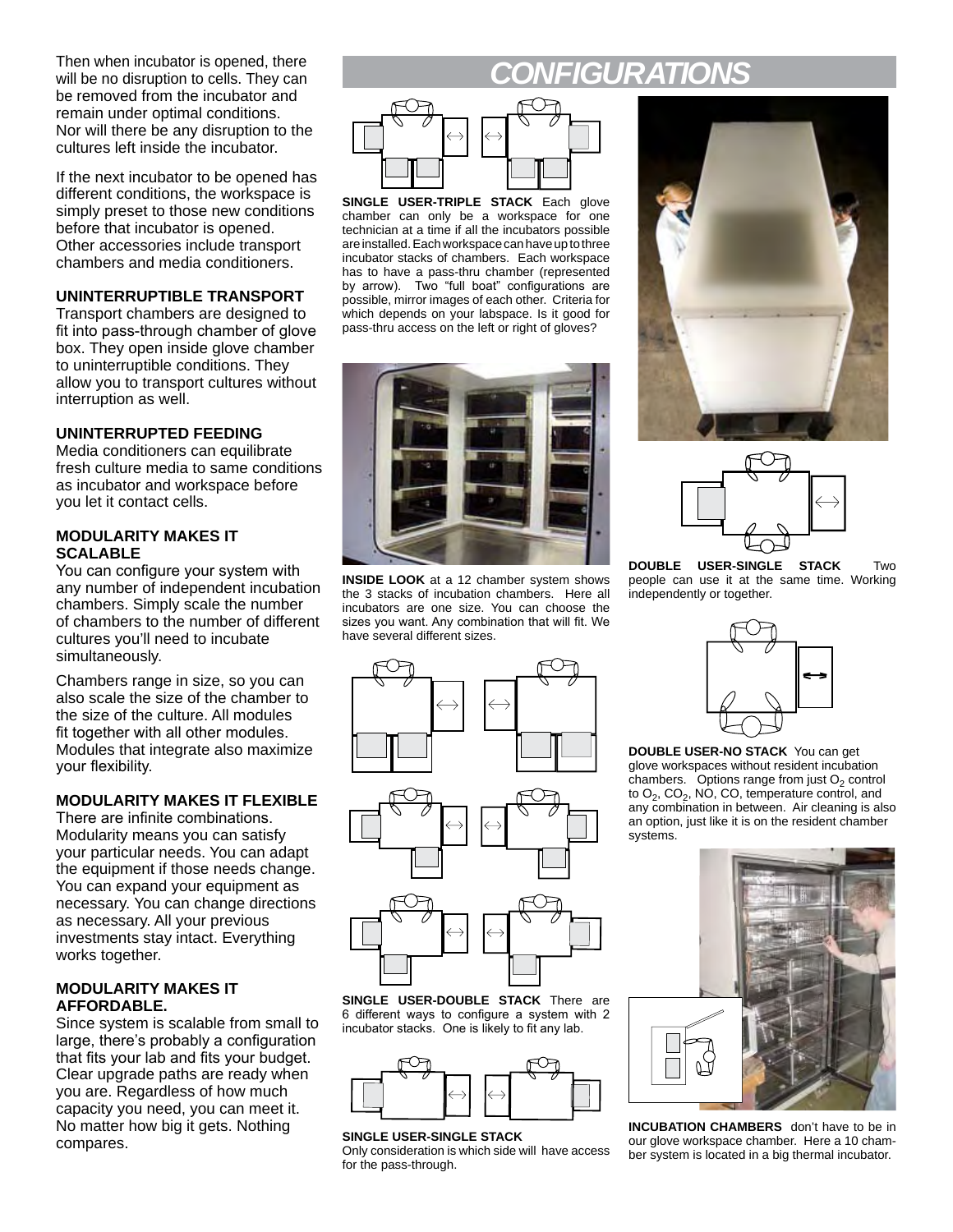Then when incubator is opened, there<br> **Then will be no disruption to cells. They can** will be no disruption to cells. They can be removed from the incubator and remain under optimal conditions. Nor will there be any disruption to the cultures left inside the incubator.

If the next incubator to be opened has different conditions, the workspace is simply preset to those new conditions before that incubator is opened. Other accessories include transport chambers and media conditioners.

#### **UNINTERRUPTIBLE TRANSPORT**

Transport chambers are designed to fit into pass-through chamber of glove box. They open inside glove chamber to uninterruptible conditions. They allow you to transport cultures without interruption as well.

### **UNINTERRUPTED FEEDING**

Media conditioners can equilibrate fresh culture media to same conditions as incubator and workspace before you let it contact cells.

#### **MODULARITY MAKES IT SCALABLE**

You can configure your system with any number of independent incubation chambers. Simply scale the number of chambers to the number of different cultures you'll need to incubate simultaneously.

Chambers range in size, so you can also scale the size of the chamber to the size of the culture. All modules fit together with all other modules. Modules that integrate also maximize your flexibility.

### **MODULARITY MAKES IT FLEXIBLE**

There are infinite combinations. Modularity means you can satisfy your particular needs. You can adapt the equipment if those needs change. You can expand your equipment as necessary. You can change directions as necessary. All your previous investments stay intact. Everything works together.

#### **MODULARITY MAKES IT AFFORDABLE.**

Since system is scalable from small to large, there's probably a configuration that fits your lab and fits your budget. Clear upgrade paths are ready when you are. Regardless of how much capacity you need, you can meet it. No matter how big it gets. Nothing compares.



**SINGLE USER-TRIPLE STACK** Each glove chamber can only be a workspace for one technician at a time if all the incubators possible are installed. Each workspace can have up to three incubator stacks of chambers. Each workspace has to have a pass-thru chamber (represented by arrow). Two "full boat" configurations are possible, mirror images of each other. Criteria for which depends on your labspace. Is it good for pass-thru access on the left or right of gloves?



**INSIDE LOOK** at a 12 chamber system shows the 3 stacks of incubation chambers. Here all incubators are one size. You can choose the sizes you want. Any combination that will fit. We have several different sizes.





**DOUBLE USER-SINGLE STACK** Two people can use it at the same time. Working independently or together.



**SINGLE USER-DOUBLE STACK** There are 6 different ways to configure a system with 2 incubator stacks. One is likely to fit any lab.



#### **SINGLE USER-SINGLE STACK**

Only consideration is which side will have access for the pass-through.



**DOUBLE USER-NO STACK** You can get glove workspaces without resident incubation chambers. Options range from just  $O<sub>2</sub>$  control to O<sub>2</sub>, CO<sub>2</sub>, NO, CO, temperature control, and any combination in between. Air cleaning is also an option, just like it is on the resident chamber systems.



**INCUBATION CHAMBERS** don't have to be in our glove workspace chamber. Here a 10 chamber system is located in a big thermal incubator.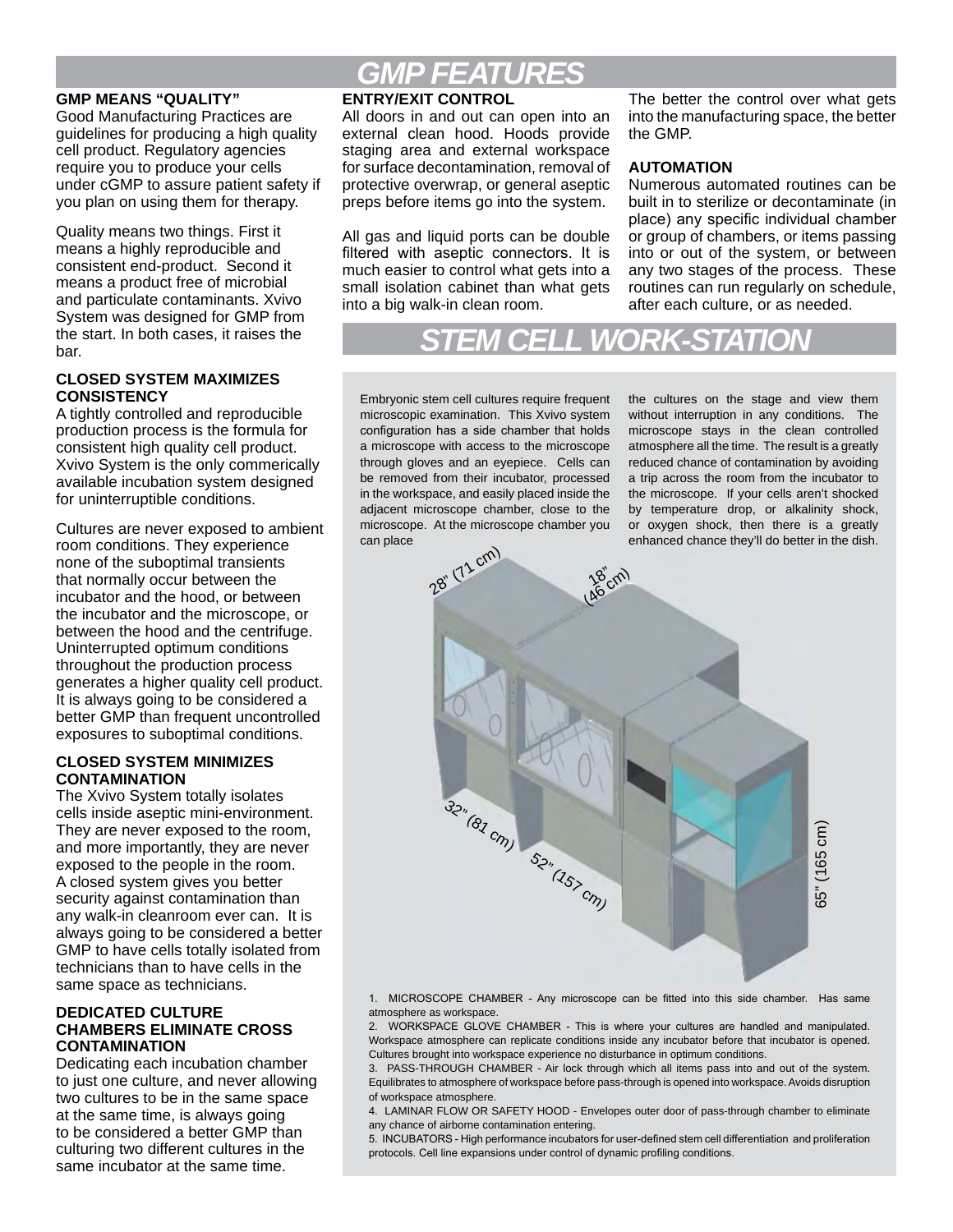#### **GMP MEANS "QUALITY"**

Good Manufacturing Practices are guidelines for producing a high quality cell product. Regulatory agencies require you to produce your cells under cGMP to assure patient safety if you plan on using them for therapy.

Quality means two things. First it means a highly reproducible and consistent end-product. Second it means a product free of microbial and particulate contaminants. Xvivo System was designed for GMP from the start. In both cases, it raises the bar.

#### **CLOSED SYSTEM MAXIMIZES CONSISTENCY**

A tightly controlled and reproducible production process is the formula for consistent high quality cell product. Xvivo System is the only commerically available incubation system designed for uninterruptible conditions.

Cultures are never exposed to ambient room conditions. They experience none of the suboptimal transients that normally occur between the incubator and the hood, or between the incubator and the microscope, or between the hood and the centrifuge. Uninterrupted optimum conditions throughout the production process generates a higher quality cell product. It is always going to be considered a better GMP than frequent uncontrolled exposures to suboptimal conditions.

#### **CLOSED SYSTEM MINIMIZES CONTAMINATION**

The Xvivo System totally isolates cells inside aseptic mini-environment. They are never exposed to the room, and more importantly, they are never exposed to the people in the room. A closed system gives you better security against contamination than any walk-in cleanroom ever can. It is always going to be considered a better GMP to have cells totally isolated from technicians than to have cells in the same space as technicians.

#### **DEDICATED CULTURE CHAMBERS ELIMINATE CROSS CONTAMINATION**

Dedicating each incubation chamber to just one culture, and never allowing two cultures to be in the same space at the same time, is always going to be considered a better GMP than culturing two different cultures in the same incubator at the same time.

## *GMP FEATURES*

#### **ENTRY/EXIT CONTROL**

All doors in and out can open into an external clean hood. Hoods provide staging area and external workspace for surface decontamination, removal of protective overwrap, or general aseptic preps before items go into the system.

All gas and liquid ports can be double filtered with aseptic connectors. It is much easier to control what gets into a small isolation cabinet than what gets into a big walk-in clean room.

The better the control over what gets into the manufacturing space, the better the GMP.

#### **AUTOMATION**

Numerous automated routines can be built in to sterilize or decontaminate (in place) any specific individual chamber or group of chambers, or items passing into or out of the system, or between any two stages of the process. These routines can run regularly on schedule, after each culture, or as needed.

*STEM CELL WORK-STATION*

Embryonic stem cell cultures require frequent microscopic examination. This Xvivo system configuration has a side chamber that holds a microscope with access to the microscope through gloves and an eyepiece. Cells can be removed from their incubator, processed in the workspace, and easily placed inside the adjacent microscope chamber, close to the microscope. At the microscope chamber you can place

the cultures on the stage and view them without interruption in any conditions. The microscope stays in the clean controlled atmosphere all the time. The result is a greatly reduced chance of contamination by avoiding a trip across the room from the incubator to the microscope. If your cells aren't shocked by temperature drop, or alkalinity shock, or oxygen shock, then there is a greatly enhanced chance they'll do better in the dish.



1. MICROSCOPE CHAMBER - Any microscope can be fitted into this side chamber. Has same atmosphere as workspace.

2. WORKSPACE GLOVE CHAMBER - This is where your cultures are handled and manipulated. Workspace atmosphere can replicate conditions inside any incubator before that incubator is opened. Cultures brought into workspace experience no disturbance in optimum conditions.

3. PASS-THROUGH CHAMBER - Air lock through which all items pass into and out of the system. Equilibrates to atmosphere of workspace before pass-through is opened into workspace. Avoids disruption of workspace atmosphere.

4. LAMINAR FLOW OR SAFETY HOOD - Envelopes outer door of pass-through chamber to eliminate any chance of airborne contamination entering.

5. INCUBATORS - High performance incubators for user-defined stem cell differentiation and proliferation protocols. Cell line expansions under control of dynamic profiling conditions.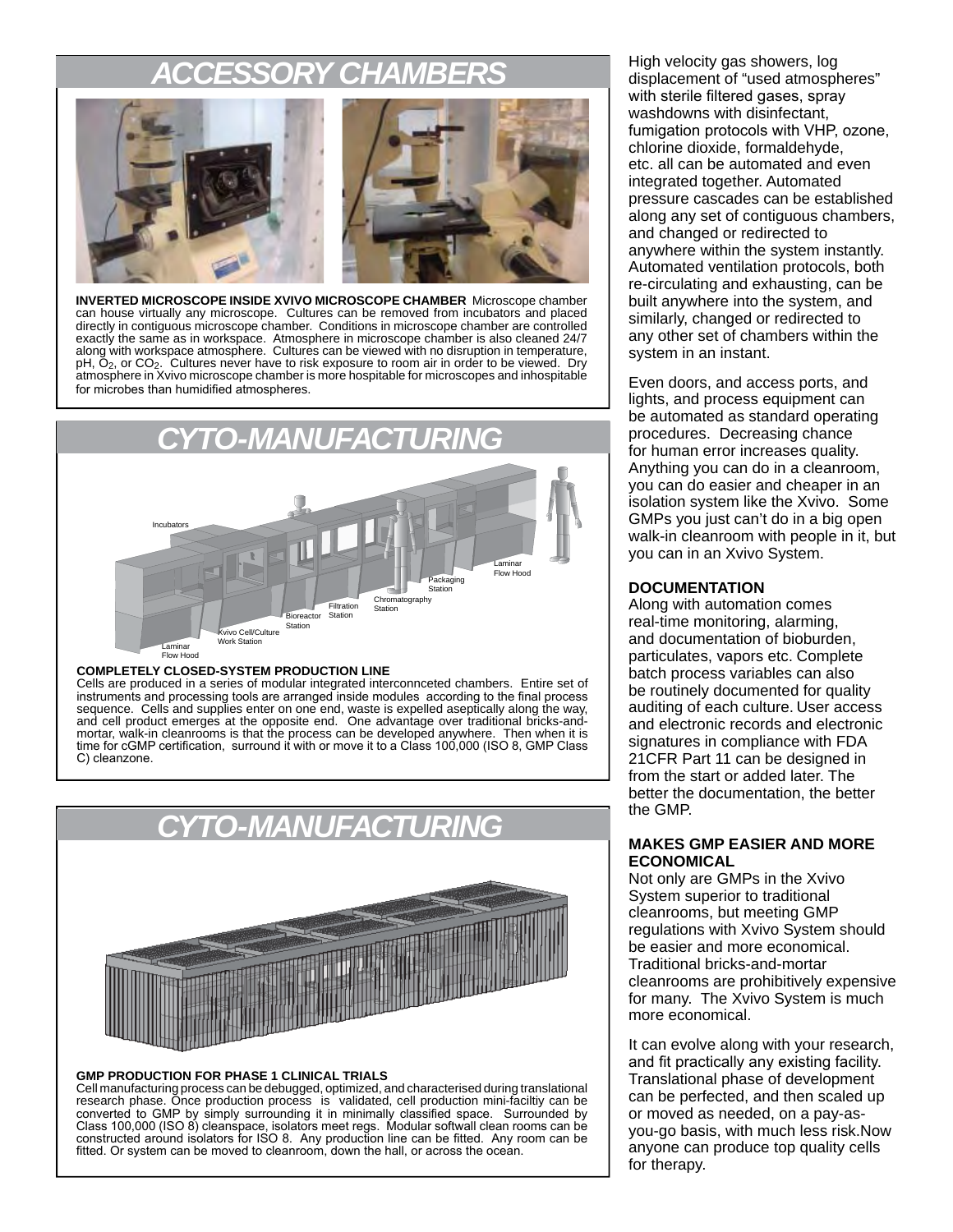### **SORY CHA**



**INVERTED MICROSCOPE INSIDE XVIVO MICROSCOPE CHAMBER** Microscope chamber can house virtually any microscope. Cultures can be removed from incubators and placed directly in contiguous microscope chamber. Conditions in microscope chamber are controlled exactly the same as in workspace. Atmosphere in microscope chamber is also cleaned 24/7 along with workspace atmosphere. Cultures can be viewed with no disruption in temperature,  $pH$ ,  $\bar{O}_2$ , or  $CO_2$ . Cultures never have to risk exposure to room air in order to be viewed. Dry atmosphere in Xvivo microscope chamber is more hospitable for microscopes and inhospitable for microbes than humidified atmospheres.



#### **COMPLETELY CLOSED-SYSTEM PRODUCTION LINE**

Cells are produced in a series of modular integrated interconnceted chambers. Entire set of instruments and processing tools are arranged inside modules according to the final process sequence. Cells and supplies enter on one end, waste is expelled aseptically along the way, and cell product emerges at the opposite end. One advantage over traditional bricks-andmortar, walk-in cleanrooms is that the process can be developed anywhere. Then when it is time for cGMP certification,surround it with or move it to a Class 100,000 (ISO 8, GMP Class C) cleanzone.



#### **GMP PRODUCTION FOR PHASE 1 CLINICAL TRIALS**

Cell manufacturing process can be debugged, optimized, and characterised during translational research phase. Once production process is validated, cell production mini-faciltiy can be converted to GMP by simply surrounding it in minimally classified space. Surrounded by Class 100,000 (ISO 8) cleanspace, isolators meet regs. Modular softwall clean rooms can be constructed around isolators for ISO 8. Any production line can be fitted. Any room can be fitted. Or system can be moved to cleanroom, down the hall, or across the ocean.

High velocity gas showers, log displacement of "used atmospheres" with sterile filtered gases, spray washdowns with disinfectant, fumigation protocols with VHP, ozone, chlorine dioxide, formaldehyde, etc. all can be automated and even integrated together. Automated pressure cascades can be established along any set of contiguous chambers, and changed or redirected to anywhere within the system instantly. Automated ventilation protocols, both re-circulating and exhausting, can be built anywhere into the system, and similarly, changed or redirected to any other set of chambers within the system in an instant.

Even doors, and access ports, and lights, and process equipment can be automated as standard operating procedures. Decreasing chance for human error increases quality. Anything you can do in a cleanroom, you can do easier and cheaper in an isolation system like the Xvivo. Some GMPs you just can't do in a big open walk-in cleanroom with people in it, but you can in an Xvivo System.

#### **DOCUMENTATION**

Along with automation comes real-time monitoring, alarming, and documentation of bioburden, particulates, vapors etc. Complete batch process variables can also be routinely documented for quality auditing of each culture. User access and electronic records and electronic signatures in compliance with FDA 21CFR Part 11 can be designed in from the start or added later. The better the documentation, the better the GMP.

#### **MAKES GMP EASIER AND MORE ECONOMICAL**

Not only are GMPs in the Xvivo System superior to traditional cleanrooms, but meeting GMP regulations with Xvivo System should be easier and more economical. Traditional bricks-and-mortar cleanrooms are prohibitively expensive for many. The Xvivo System is much more economical.

It can evolve along with your research, and fit practically any existing facility. Translational phase of development can be perfected, and then scaled up or moved as needed, on a pay-asyou-go basis, with much less risk.Now anyone can produce top quality cells for therapy.